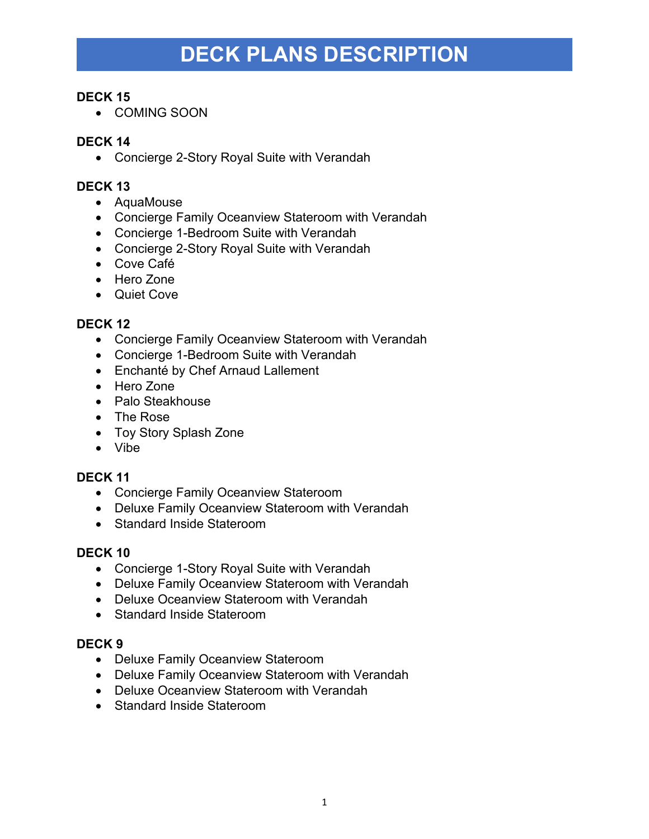# **DECK PLANS DESCRIPTION**

## **DECK 15**

• COMING SOON

# **DECK 14**

• Concierge 2-Story Royal Suite with Verandah

#### **DECK 13**

- AquaMouse
- Concierge Family Oceanview Stateroom with Verandah
- Concierge 1-Bedroom Suite with Verandah
- Concierge 2-Story Royal Suite with Verandah
- Cove Café
- Hero Zone
- Quiet Cove

#### **DECK 12**

- Concierge Family Oceanview Stateroom with Verandah
- Concierge 1-Bedroom Suite with Verandah
- Enchanté by Chef Arnaud Lallement
- Hero Zone
- Palo Steakhouse
- The Rose
- Toy Story Splash Zone
- Vibe

#### **DECK 11**

- Concierge Family Oceanview Stateroom
- Deluxe Family Oceanview Stateroom with Verandah
- Standard Inside Stateroom

# **DECK 10**

- Concierge 1-Story Royal Suite with Verandah
- Deluxe Family Oceanview Stateroom with Verandah
- Deluxe Oceanview Stateroom with Verandah
- Standard Inside Stateroom

#### **DECK 9**

- Deluxe Family Oceanview Stateroom
- Deluxe Family Oceanview Stateroom with Verandah
- Deluxe Oceanview Stateroom with Verandah
- Standard Inside Stateroom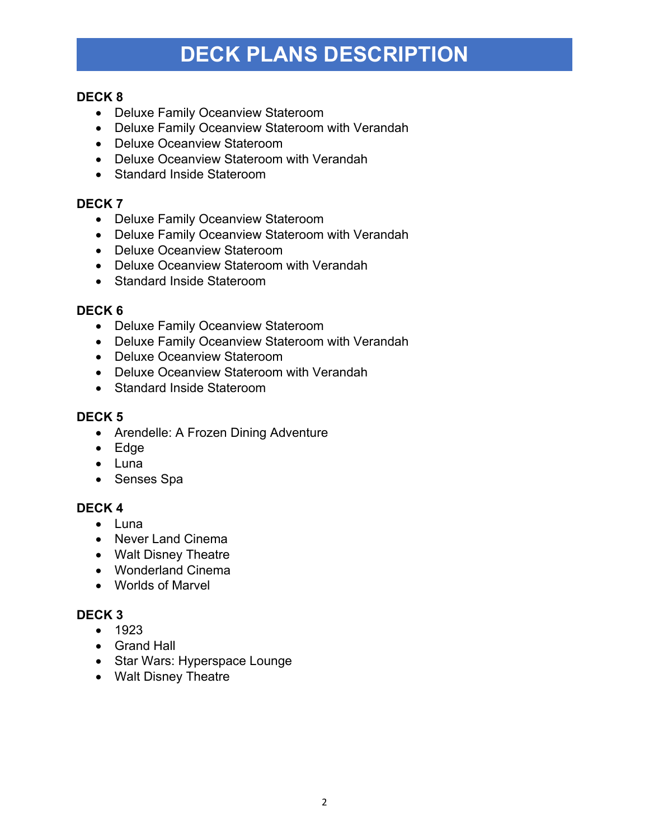# **DECK PLANS DESCRIPTION**

## **DECK 8**

- Deluxe Family Oceanview Stateroom
- Deluxe Family Oceanview Stateroom with Verandah
- Deluxe Oceanview Stateroom
- Deluxe Oceanview Stateroom with Verandah
- Standard Inside Stateroom

# **DECK 7**

- Deluxe Family Oceanview Stateroom
- Deluxe Family Oceanview Stateroom with Verandah
- Deluxe Oceanview Stateroom
- Deluxe Oceanview Stateroom with Verandah
- Standard Inside Stateroom

# **DECK 6**

- Deluxe Family Oceanview Stateroom
- Deluxe Family Oceanview Stateroom with Verandah
- Deluxe Oceanview Stateroom
- Deluxe Oceanview Stateroom with Verandah
- Standard Inside Stateroom

#### **DECK 5**

- Arendelle: A Frozen Dining Adventure
- Edge
- Luna
- Senses Spa

# **DECK 4**

- Luna
- Never Land Cinema
- Walt Disney Theatre
- Wonderland Cinema
- Worlds of Marvel

# **DECK 3**

- 1923
- Grand Hall
- Star Wars: Hyperspace Lounge
- Walt Disney Theatre